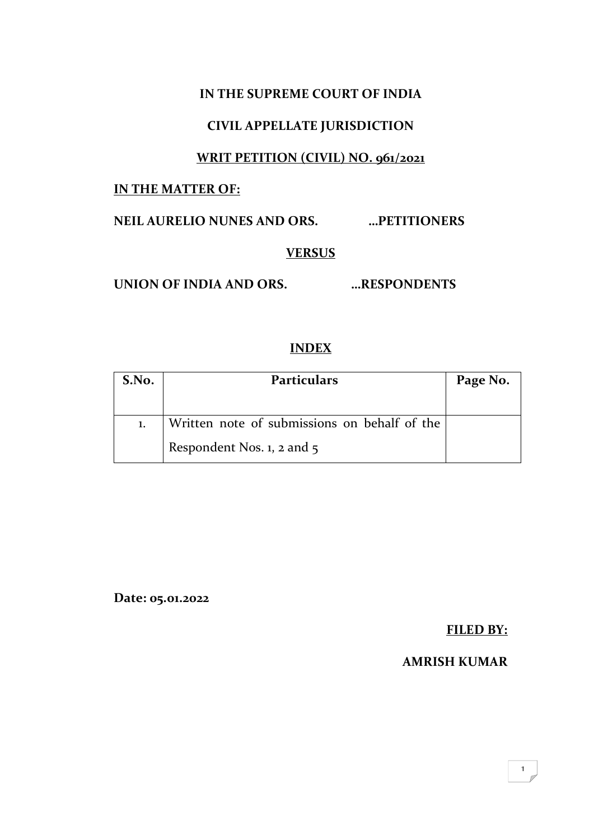### **IN THE SUPREME COURT OF INDIA**

### **CIVIL APPELLATE JURISDICTION**

### **WRIT PETITION (CIVIL) NO. 961/2021**

#### **IN THE MATTER OF:**

**NEIL AURELIO NUNES AND ORS. …PETITIONERS**

#### **VERSUS**

**UNION OF INDIA AND ORS. …RESPONDENTS**

### **INDEX**

| S.No. | <b>Particulars</b>                           | Page No. |
|-------|----------------------------------------------|----------|
|       |                                              |          |
|       | Written note of submissions on behalf of the |          |
|       | Respondent Nos. $1$ , $2$ and $5$            |          |

**Date: 05.01.2022**

**FILED BY:**

### **AMRISH KUMAR**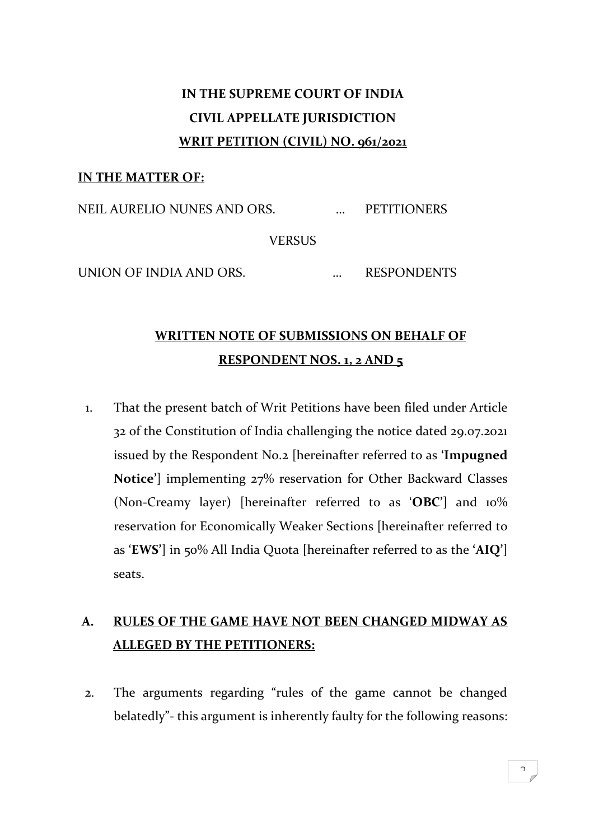# **IN THE SUPREME COURT OF INDIA CIVIL APPELLATE JURISDICTION WRIT PETITION (CIVIL) NO. 961/2021**

#### **IN THE MATTER OF:**

NEIL AURELIO NUNES AND ORS. … PETITIONERS **VERSUS** UNION OF INDIA AND ORS. ... RESPONDENTS

### **WRITTEN NOTE OF SUBMISSIONS ON BEHALF OF RESPONDENT NOS. 1, 2 AND 5**

1. That the present batch of Writ Petitions have been filed under Article 32 of the Constitution of India challenging the notice dated 29.07.2021 issued by the Respondent No.2 [hereinafter referred to as **'Impugned Notice'**] implementing 27% reservation for Other Backward Classes (Non-Creamy layer) [hereinafter referred to as '**OBC'**] and 10% reservation for Economically Weaker Sections [hereinafter referred to as '**EWS'**] in 50% All India Quota [hereinafter referred to as the **'AIQ'**] seats.

## **A. RULES OF THE GAME HAVE NOT BEEN CHANGED MIDWAY AS ALLEGED BY THE PETITIONERS:**

2. The arguments regarding "rules of the game cannot be changed belatedly"- this argument is inherently faulty for the following reasons: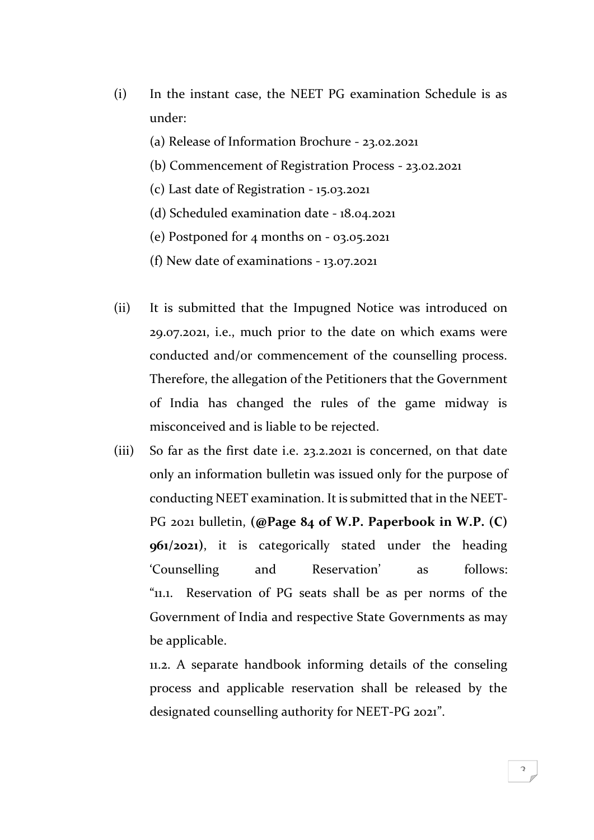- (i) In the instant case, the NEET PG examination Schedule is as under:
	- (a) Release of Information Brochure 23.02.2021
	- (b) Commencement of Registration Process 23.02.2021
	- (c) Last date of Registration 15.03.2021
	- (d) Scheduled examination date 18.04.2021
	- (e) Postponed for 4 months on 03.05.2021
	- (f) New date of examinations 13.07.2021
- (ii) It is submitted that the Impugned Notice was introduced on 29.07.2021, i.e., much prior to the date on which exams were conducted and/or commencement of the counselling process. Therefore, the allegation of the Petitioners that the Government of India has changed the rules of the game midway is misconceived and is liable to be rejected.
- (iii) So far as the first date i.e. 23.2.2021 is concerned, on that date only an information bulletin was issued only for the purpose of conducting NEET examination. It is submitted that in the NEET-PG 2021 bulletin, **(@Page 84 of W.P. Paperbook in W.P. (C) 961/2021)**, it is categorically stated under the heading 'Counselling and Reservation' as follows: "11.1. Reservation of PG seats shall be as per norms of the Government of India and respective State Governments as may be applicable.

11.2. A separate handbook informing details of the conseling process and applicable reservation shall be released by the designated counselling authority for NEET-PG 2021".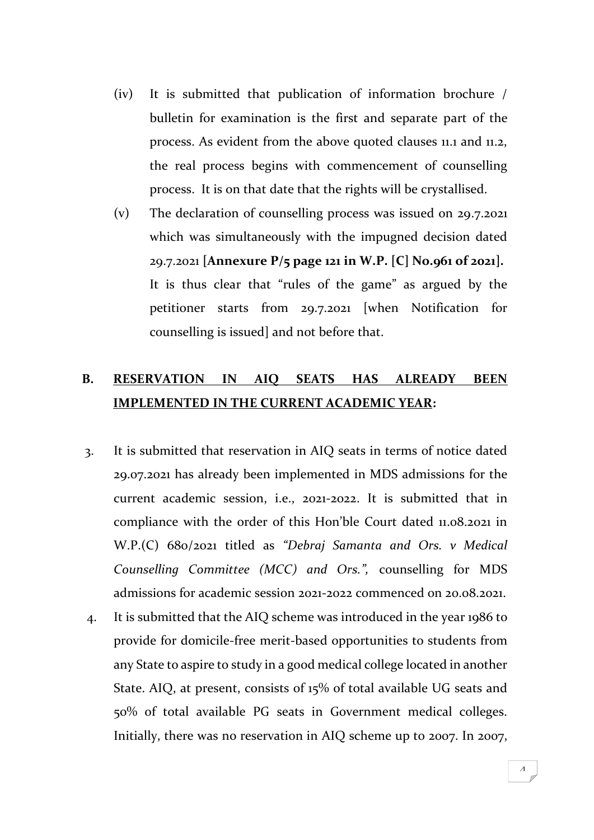- (iv) It is submitted that publication of information brochure / bulletin for examination is the first and separate part of the process. As evident from the above quoted clauses 11.1 and 11.2, the real process begins with commencement of counselling process. It is on that date that the rights will be crystallised.
- (v) The declaration of counselling process was issued on 29.7.2021 which was simultaneously with the impugned decision dated 29.7.2021 **[Annexure P/5 page 121 in W.P. [C] No.961 of 2021].** It is thus clear that "rules of the game" as argued by the petitioner starts from 29.7.2021 [when Notification for counselling is issued] and not before that.

### **B. RESERVATION IN AIQ SEATS HAS ALREADY BEEN IMPLEMENTED IN THE CURRENT ACADEMIC YEAR:**

- 3. It is submitted that reservation in AIQ seats in terms of notice dated 29.07.2021 has already been implemented in MDS admissions for the current academic session, i.e., 2021-2022. It is submitted that in compliance with the order of this Hon'ble Court dated 11.08.2021 in W.P.(C) 680/2021 titled as *"Debraj Samanta and Ors. v Medical Counselling Committee (MCC) and Ors.",* counselling for MDS admissions for academic session 2021-2022 commenced on 20.08.2021.
- 4. It is submitted that the AIQ scheme was introduced in the year 1986 to provide for domicile-free merit-based opportunities to students from any State to aspire to study in a good medical college located in another State. AIQ, at present, consists of 15% of total available UG seats and 50% of total available PG seats in Government medical colleges. Initially, there was no reservation in AIQ scheme up to 2007. In 2007,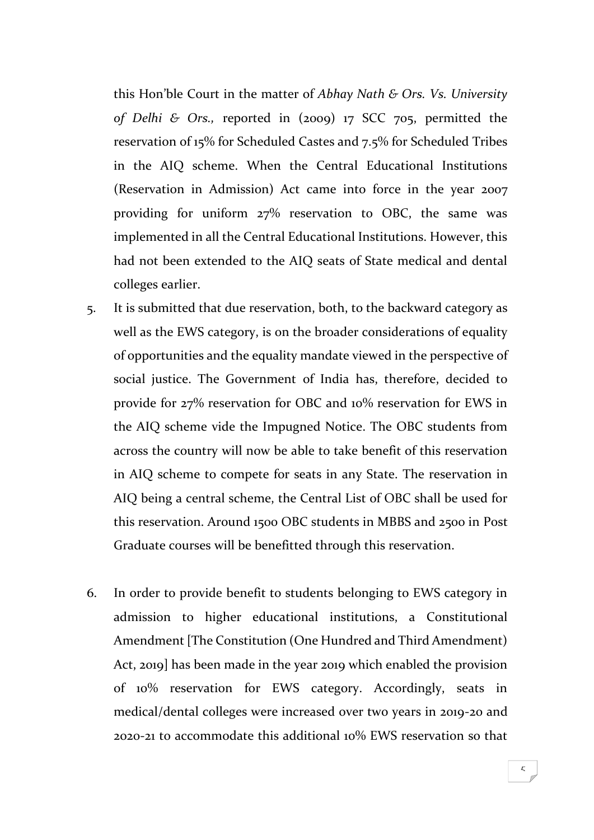this Hon'ble Court in the matter of *Abhay Nath & Ors. Vs. University of Delhi & Ors.,* reported in (2009) 17 SCC 705, permitted the reservation of 15% for Scheduled Castes and 7.5% for Scheduled Tribes in the AIQ scheme. When the Central Educational Institutions (Reservation in Admission) Act came into force in the year 2007 providing for uniform 27% reservation to OBC, the same was implemented in all the Central Educational Institutions. However, this had not been extended to the AIQ seats of State medical and dental colleges earlier.

- 5. It is submitted that due reservation, both, to the backward category as well as the EWS category, is on the broader considerations of equality of opportunities and the equality mandate viewed in the perspective of social justice. The Government of India has, therefore, decided to provide for 27% reservation for OBC and 10% reservation for EWS in the AIQ scheme vide the Impugned Notice. The OBC students from across the country will now be able to take benefit of this reservation in AIQ scheme to compete for seats in any State. The reservation in AIQ being a central scheme, the Central List of OBC shall be used for this reservation. Around 1500 OBC students in MBBS and 2500 in Post Graduate courses will be benefitted through this reservation.
- 6. In order to provide benefit to students belonging to EWS category in admission to higher educational institutions, a Constitutional Amendment [The Constitution (One Hundred and Third Amendment) Act, 2019] has been made in the year 2019 which enabled the provision of 10% reservation for EWS category. Accordingly, seats in medical/dental colleges were increased over two years in 2019-20 and 2020-21 to accommodate this additional 10% EWS reservation so that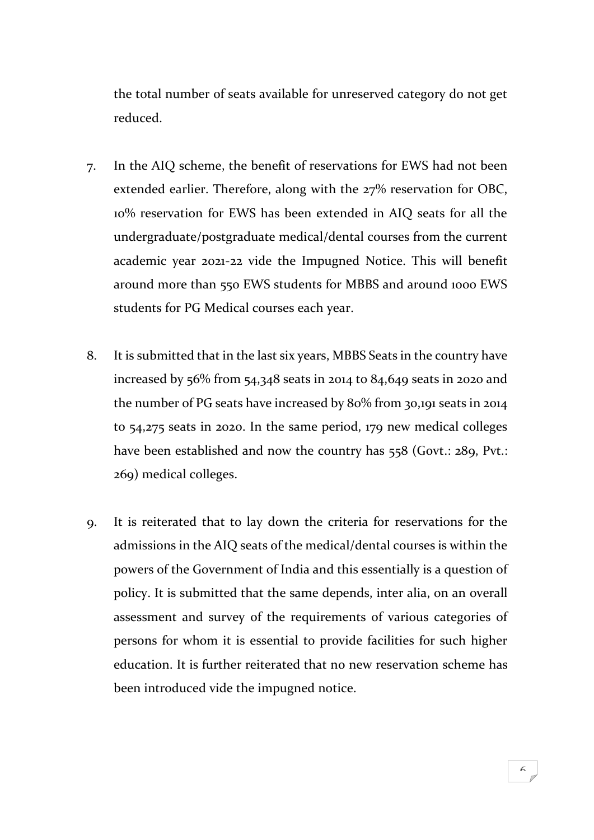the total number of seats available for unreserved category do not get reduced.

- 7. In the AIQ scheme, the benefit of reservations for EWS had not been extended earlier. Therefore, along with the 27% reservation for OBC, 10% reservation for EWS has been extended in AIQ seats for all the undergraduate/postgraduate medical/dental courses from the current academic year 2021-22 vide the Impugned Notice. This will benefit around more than 550 EWS students for MBBS and around 1000 EWS students for PG Medical courses each year.
- 8. It is submitted that in the last six years, MBBS Seats in the country have increased by  $56\%$  from  $54,348$  seats in 2014 to  $84,649$  seats in 2020 and the number of PG seats have increased by 80% from 30,191 seats in 2014 to 54,275 seats in 2020. In the same period, 179 new medical colleges have been established and now the country has 558 (Govt.: 289, Pvt.: 269) medical colleges.
- 9. It is reiterated that to lay down the criteria for reservations for the admissions in the AIQ seats of the medical/dental courses is within the powers of the Government of India and this essentially is a question of policy. It is submitted that the same depends, inter alia, on an overall assessment and survey of the requirements of various categories of persons for whom it is essential to provide facilities for such higher education. It is further reiterated that no new reservation scheme has been introduced vide the impugned notice.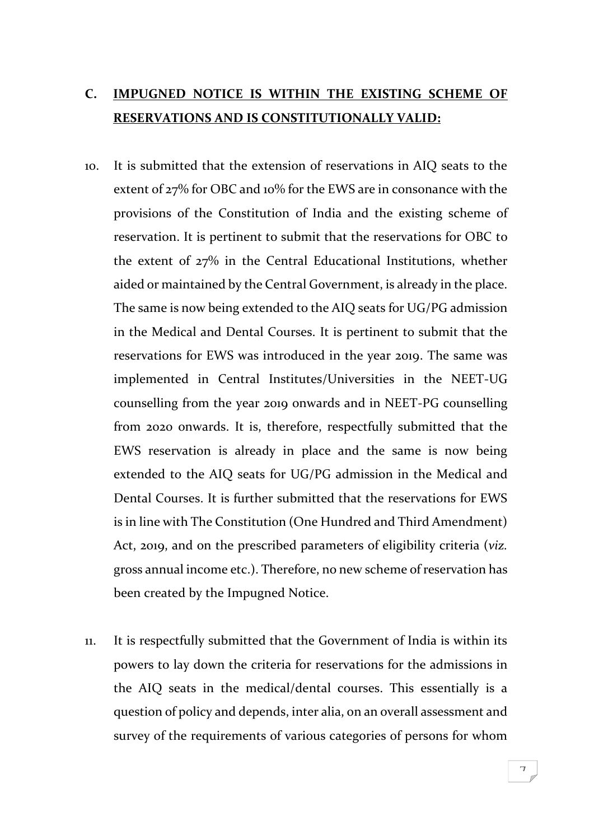### **C. IMPUGNED NOTICE IS WITHIN THE EXISTING SCHEME OF RESERVATIONS AND IS CONSTITUTIONALLY VALID:**

- 10. It is submitted that the extension of reservations in AIQ seats to the extent of 27% for OBC and 10% for the EWS are in consonance with the provisions of the Constitution of India and the existing scheme of reservation. It is pertinent to submit that the reservations for OBC to the extent of 27% in the Central Educational Institutions, whether aided or maintained by the Central Government, is already in the place. The same is now being extended to the AIQ seats for UG/PG admission in the Medical and Dental Courses. It is pertinent to submit that the reservations for EWS was introduced in the year 2019. The same was implemented in Central Institutes/Universities in the NEET-UG counselling from the year 2019 onwards and in NEET-PG counselling from 2020 onwards. It is, therefore, respectfully submitted that the EWS reservation is already in place and the same is now being extended to the AIQ seats for UG/PG admission in the Medical and Dental Courses. It is further submitted that the reservations for EWS is in line with The Constitution (One Hundred and Third Amendment) Act, 2019, and on the prescribed parameters of eligibility criteria (*viz.*  gross annual income etc.). Therefore, no new scheme of reservation has been created by the Impugned Notice.
- 11. It is respectfully submitted that the Government of India is within its powers to lay down the criteria for reservations for the admissions in the AIQ seats in the medical/dental courses. This essentially is a question of policy and depends, inter alia, on an overall assessment and survey of the requirements of various categories of persons for whom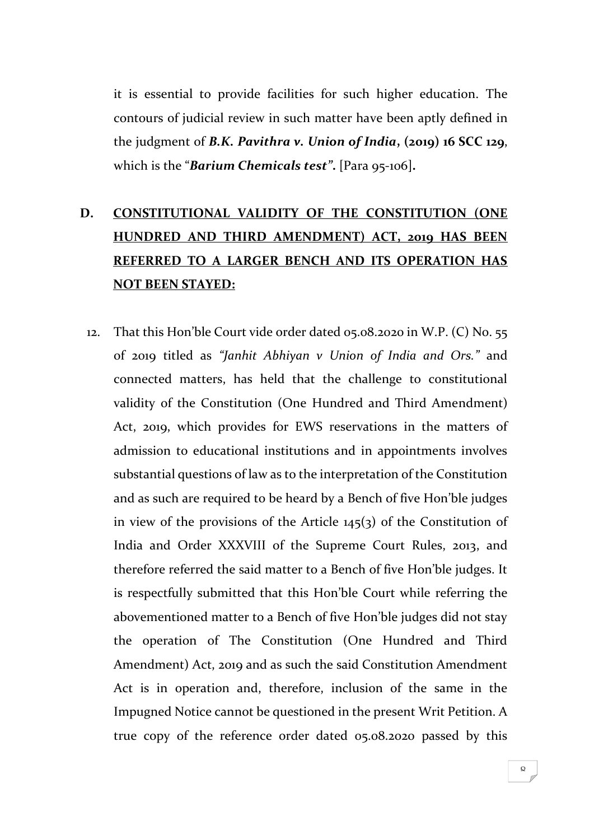it is essential to provide facilities for such higher education. The contours of judicial review in such matter have been aptly defined in the judgment of *B.K. Pavithra v. Union of India***, (2019) 16 SCC 129**, which is the "*Barium Chemicals test"***.** [Para 95-106]**.**

# **D. CONSTITUTIONAL VALIDITY OF THE CONSTITUTION (ONE HUNDRED AND THIRD AMENDMENT) ACT, 2019 HAS BEEN REFERRED TO A LARGER BENCH AND ITS OPERATION HAS NOT BEEN STAYED:**

12. That this Hon'ble Court vide order dated 05.08.2020 in W.P. (C) No. 55 of 2019 titled as *"Janhit Abhiyan v Union of India and Ors."* and connected matters, has held that the challenge to constitutional validity of the Constitution (One Hundred and Third Amendment) Act, 2019, which provides for EWS reservations in the matters of admission to educational institutions and in appointments involves substantial questions of law as to the interpretation of the Constitution and as such are required to be heard by a Bench of five Hon'ble judges in view of the provisions of the Article 145(3) of the Constitution of India and Order XXXVIII of the Supreme Court Rules, 2013, and therefore referred the said matter to a Bench of five Hon'ble judges. It is respectfully submitted that this Hon'ble Court while referring the abovementioned matter to a Bench of five Hon'ble judges did not stay the operation of The Constitution (One Hundred and Third Amendment) Act, 2019 and as such the said Constitution Amendment Act is in operation and, therefore, inclusion of the same in the Impugned Notice cannot be questioned in the present Writ Petition. A true copy of the reference order dated 05.08.2020 passed by this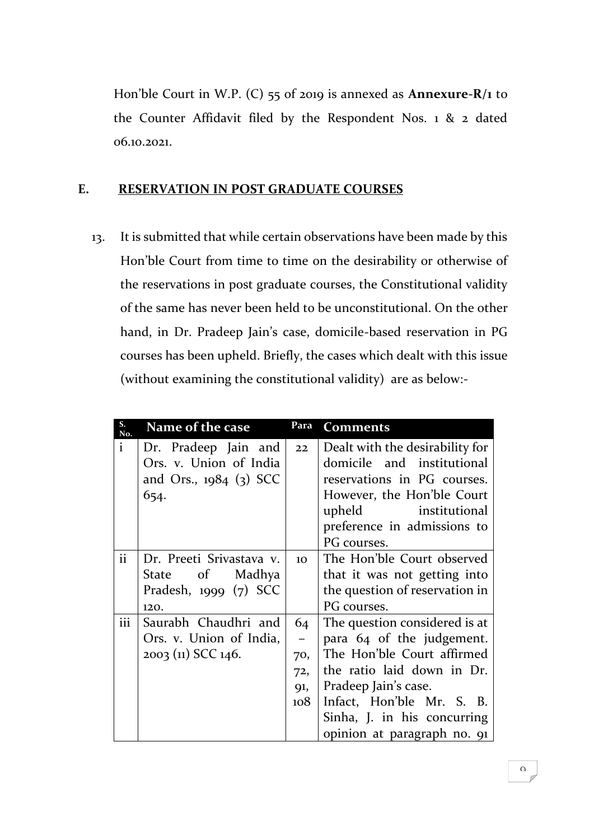Hon'ble Court in W.P. (C) 55 of 2019 is annexed as **Annexure-R/1** to the Counter Affidavit filed by the Respondent Nos. 1 & 2 dated 06.10.2021.

#### **E. RESERVATION IN POST GRADUATE COURSES**

13. It is submitted that while certain observations have been made by this Hon'ble Court from time to time on the desirability or otherwise of the reservations in post graduate courses, the Constitutional validity of the same has never been held to be unconstitutional. On the other hand, in Dr. Pradeep Jain's case, domicile-based reservation in PG courses has been upheld. Briefly, the cases which dealt with this issue (without examining the constitutional validity) are as below:-

| S.<br>No.    | Name of the case         | Para            | <b>Comments</b>                 |
|--------------|--------------------------|-----------------|---------------------------------|
| $\mathbf{i}$ | Dr. Pradeep Jain and     | 22              | Dealt with the desirability for |
|              | Ors. v. Union of India   |                 | domicile and institutional      |
|              | and Ors., 1984 (3) SCC   |                 | reservations in PG courses.     |
|              | 654.                     |                 | However, the Hon'ble Court      |
|              |                          |                 | upheld<br>institutional         |
|              |                          |                 | preference in admissions to     |
|              |                          |                 | PG courses.                     |
| ii           | Dr. Preeti Srivastava v. | 10 <sup>1</sup> | The Hon'ble Court observed      |
|              | State of Madhya          |                 | that it was not getting into    |
|              | Pradesh, $1999(7)$ SCC   |                 | the question of reservation in  |
|              | 120.                     |                 | PG courses.                     |
| iii          | Saurabh Chaudhri and     | 64              | The question considered is at   |
|              | Ors. v. Union of India,  |                 | para 64 of the judgement.       |
|              | 2003 (11) SCC 146.       | 70,             | The Hon'ble Court affirmed      |
|              |                          | 72,             | the ratio laid down in Dr.      |
|              |                          | 91,             | Pradeep Jain's case.            |
|              |                          | 108             | Infact, Hon'ble Mr. S. B.       |
|              |                          |                 | Sinha, J. in his concurring     |
|              |                          |                 | opinion at paragraph no. 91     |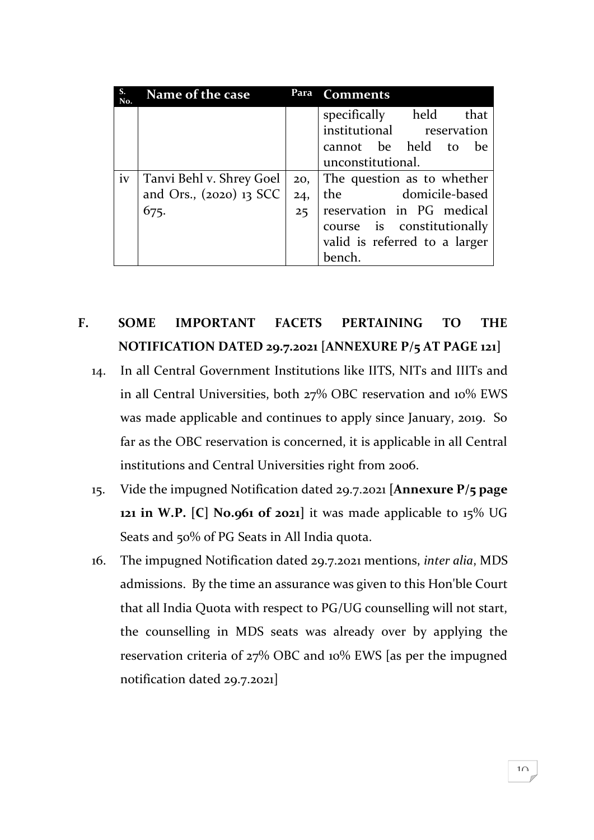| S.<br>No. | Name of the case          | Para | <b>Comments</b>               |
|-----------|---------------------------|------|-------------------------------|
|           |                           |      | specifically held<br>that     |
|           |                           |      | institutional reservation     |
|           |                           |      | cannot be held to<br>be       |
|           |                           |      | unconstitutional.             |
| iv        | Tanvi Behl v. Shrey Goel  | 20,  | The question as to whether    |
|           | and Ors., $(2020)$ 13 SCC | 24,  | domicile-based<br>the         |
|           | 675.                      | 25   | reservation in PG medical     |
|           |                           |      | course is constitutionally    |
|           |                           |      | valid is referred to a larger |
|           |                           |      | bench.                        |

## **F. SOME IMPORTANT FACETS PERTAINING TO THE NOTIFICATION DATED 29.7.2021 [ANNEXURE P/5 AT PAGE 121]**

- 14. In all Central Government Institutions like IITS, NITs and IIITs and in all Central Universities, both 27% OBC reservation and 10% EWS was made applicable and continues to apply since January, 2019. So far as the OBC reservation is concerned, it is applicable in all Central institutions and Central Universities right from 2006.
- 15. Vide the impugned Notification dated 29.7.2021 **[Annexure P/5 page 121 in W.P. [C] No.961 of 2021]** it was made applicable to 15% UG Seats and 50% of PG Seats in All India quota.
- 16. The impugned Notification dated 29.7.2021 mentions, *inter alia*, MDS admissions. By the time an assurance was given to this Hon'ble Court that all India Quota with respect to PG/UG counselling will not start, the counselling in MDS seats was already over by applying the reservation criteria of 27% OBC and 10% EWS [as per the impugned notification dated 29.7.2021]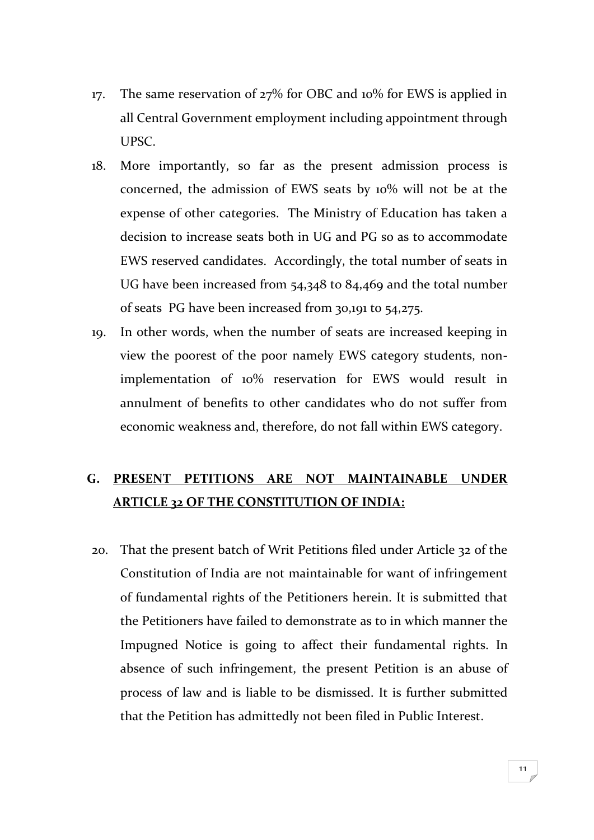- 17. The same reservation of 27% for OBC and 10% for EWS is applied in all Central Government employment including appointment through UPSC.
- 18. More importantly, so far as the present admission process is concerned, the admission of EWS seats by 10% will not be at the expense of other categories. The Ministry of Education has taken a decision to increase seats both in UG and PG so as to accommodate EWS reserved candidates. Accordingly, the total number of seats in UG have been increased from 54,348 to 84,469 and the total number of seats PG have been increased from 30,191 to 54,275.
- 19. In other words, when the number of seats are increased keeping in view the poorest of the poor namely EWS category students, nonimplementation of 10% reservation for EWS would result in annulment of benefits to other candidates who do not suffer from economic weakness and, therefore, do not fall within EWS category.

### **G. PRESENT PETITIONS ARE NOT MAINTAINABLE UNDER ARTICLE 32 OF THE CONSTITUTION OF INDIA:**

20. That the present batch of Writ Petitions filed under Article 32 of the Constitution of India are not maintainable for want of infringement of fundamental rights of the Petitioners herein. It is submitted that the Petitioners have failed to demonstrate as to in which manner the Impugned Notice is going to affect their fundamental rights. In absence of such infringement, the present Petition is an abuse of process of law and is liable to be dismissed. It is further submitted that the Petition has admittedly not been filed in Public Interest.